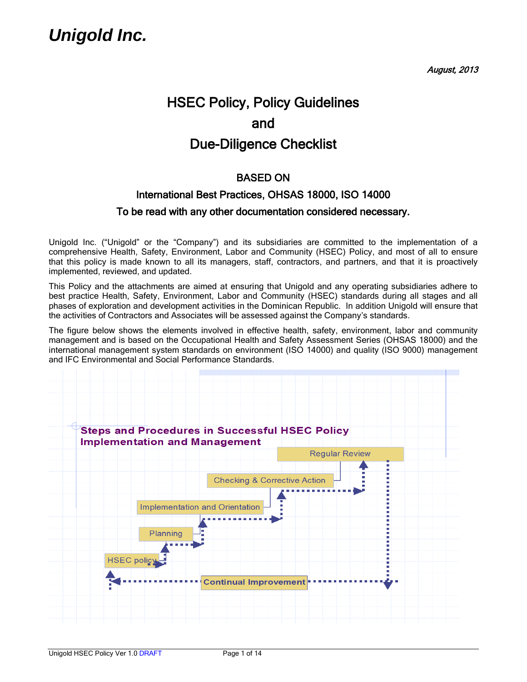August, 2013

# HSEC Policy, Policy Guidelines and Due-Diligence Checklist

### BASED ON

# International Best Practices, OHSAS 18000, ISO 14000 To be read with any other documentation considered necessary.

Unigold Inc. ("Unigold" or the "Company") and its subsidiaries are committed to the implementation of a comprehensive Health, Safety, Environment, Labor and Community (HSEC) Policy, and most of all to ensure that this policy is made known to all its managers, staff, contractors, and partners, and that it is proactively implemented, reviewed, and updated.

This Policy and the attachments are aimed at ensuring that Unigold and any operating subsidiaries adhere to best practice Health, Safety, Environment, Labor and Community (HSEC) standards during all stages and all phases of exploration and development activities in the Dominican Republic. In addition Unigold will ensure that the activities of Contractors and Associates will be assessed against the Company's standards.

The figure below shows the elements involved in effective health, safety, environment, labor and community management and is based on the Occupational Health and Safety Assessment Series (OHSAS 18000) and the international management system standards on environment (ISO 14000) and quality (ISO 9000) management and IFC Environmental and Social Performance Standards.

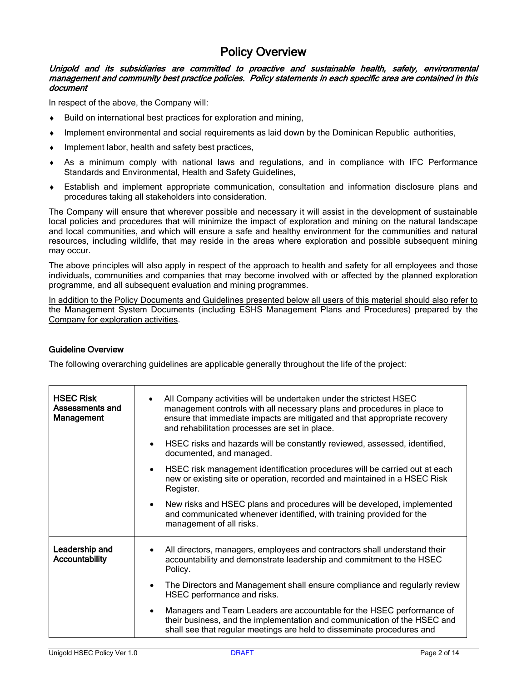## Policy Overview

#### Unigold and its subsidiaries are committed to proactive and sustainable health, safety, environmental management and community best practice policies. Policy statements in each specific area are contained in this document

In respect of the above, the Company will:

- ♦ Build on international best practices for exploration and mining,
- ♦ Implement environmental and social requirements as laid down by the Dominican Republic authorities,
- Implement labor, health and safety best practices,
- ♦ As a minimum comply with national laws and regulations, and in compliance with IFC Performance Standards and Environmental, Health and Safety Guidelines,
- ♦ Establish and implement appropriate communication, consultation and information disclosure plans and procedures taking all stakeholders into consideration.

The Company will ensure that wherever possible and necessary it will assist in the development of sustainable local policies and procedures that will minimize the impact of exploration and mining on the natural landscape and local communities, and which will ensure a safe and healthy environment for the communities and natural resources, including wildlife, that may reside in the areas where exploration and possible subsequent mining may occur.

The above principles will also apply in respect of the approach to health and safety for all employees and those individuals, communities and companies that may become involved with or affected by the planned exploration programme, and all subsequent evaluation and mining programmes.

In addition to the Policy Documents and Guidelines presented below all users of this material should also refer to the Management System Documents (including ESHS Management Plans and Procedures) prepared by the Company for exploration activities.

#### Guideline Overview

The following overarching guidelines are applicable generally throughout the life of the project:

| <b>HSEC Risk</b><br>Assessments and<br><b>Management</b> | All Company activities will be undertaken under the strictest HSEC<br>management controls with all necessary plans and procedures in place to<br>ensure that immediate impacts are mitigated and that appropriate recovery<br>and rehabilitation processes are set in place. |
|----------------------------------------------------------|------------------------------------------------------------------------------------------------------------------------------------------------------------------------------------------------------------------------------------------------------------------------------|
|                                                          | HSEC risks and hazards will be constantly reviewed, assessed, identified,<br>$\bullet$<br>documented, and managed.                                                                                                                                                           |
|                                                          | HSEC risk management identification procedures will be carried out at each<br>$\bullet$<br>new or existing site or operation, recorded and maintained in a HSEC Risk<br>Register.                                                                                            |
|                                                          | New risks and HSEC plans and procedures will be developed, implemented<br>$\bullet$<br>and communicated whenever identified, with training provided for the<br>management of all risks.                                                                                      |
| Leadership and<br>Accountability                         | All directors, managers, employees and contractors shall understand their<br>accountability and demonstrate leadership and commitment to the HSEC<br>Policy.                                                                                                                 |
|                                                          | The Directors and Management shall ensure compliance and regularly review<br>$\bullet$<br>HSEC performance and risks.                                                                                                                                                        |
|                                                          | Managers and Team Leaders are accountable for the HSEC performance of<br>$\bullet$<br>their business, and the implementation and communication of the HSEC and<br>shall see that regular meetings are held to disseminate procedures and                                     |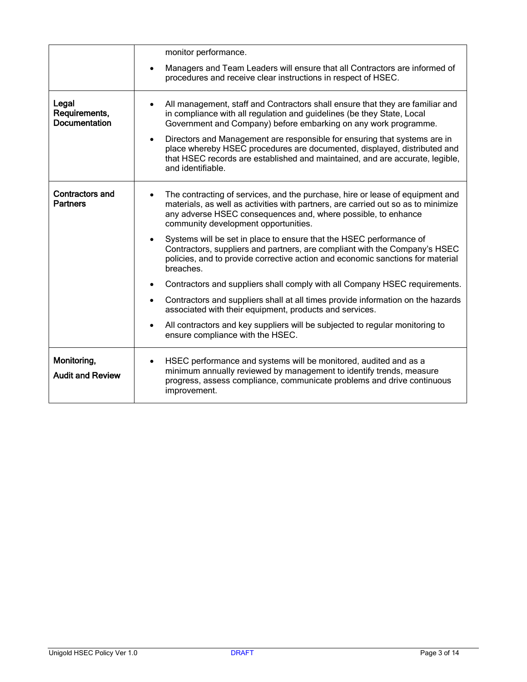|                                                | monitor performance.                                                                                                                                                                                                                                                                                                                                                                                                                                                                                               |
|------------------------------------------------|--------------------------------------------------------------------------------------------------------------------------------------------------------------------------------------------------------------------------------------------------------------------------------------------------------------------------------------------------------------------------------------------------------------------------------------------------------------------------------------------------------------------|
|                                                | Managers and Team Leaders will ensure that all Contractors are informed of<br>$\bullet$<br>procedures and receive clear instructions in respect of HSEC.                                                                                                                                                                                                                                                                                                                                                           |
| Legal<br>Requirements,<br><b>Documentation</b> | All management, staff and Contractors shall ensure that they are familiar and<br>$\bullet$<br>in compliance with all regulation and guidelines (be they State, Local<br>Government and Company) before embarking on any work programme.<br>Directors and Management are responsible for ensuring that systems are in<br>$\bullet$<br>place whereby HSEC procedures are documented, displayed, distributed and<br>that HSEC records are established and maintained, and are accurate, legible,<br>and identifiable. |
| <b>Contractors and</b><br><b>Partners</b>      | The contracting of services, and the purchase, hire or lease of equipment and<br>$\bullet$<br>materials, as well as activities with partners, are carried out so as to minimize<br>any adverse HSEC consequences and, where possible, to enhance<br>community development opportunities.                                                                                                                                                                                                                           |
|                                                | Systems will be set in place to ensure that the HSEC performance of<br>$\bullet$<br>Contractors, suppliers and partners, are compliant with the Company's HSEC<br>policies, and to provide corrective action and economic sanctions for material<br>breaches.                                                                                                                                                                                                                                                      |
|                                                | Contractors and suppliers shall comply with all Company HSEC requirements.<br>$\bullet$                                                                                                                                                                                                                                                                                                                                                                                                                            |
|                                                | Contractors and suppliers shall at all times provide information on the hazards<br>$\bullet$<br>associated with their equipment, products and services.                                                                                                                                                                                                                                                                                                                                                            |
|                                                | All contractors and key suppliers will be subjected to regular monitoring to<br>$\bullet$<br>ensure compliance with the HSEC.                                                                                                                                                                                                                                                                                                                                                                                      |
| Monitoring,<br><b>Audit and Review</b>         | HSEC performance and systems will be monitored, audited and as a<br>$\bullet$<br>minimum annually reviewed by management to identify trends, measure<br>progress, assess compliance, communicate problems and drive continuous<br>improvement.                                                                                                                                                                                                                                                                     |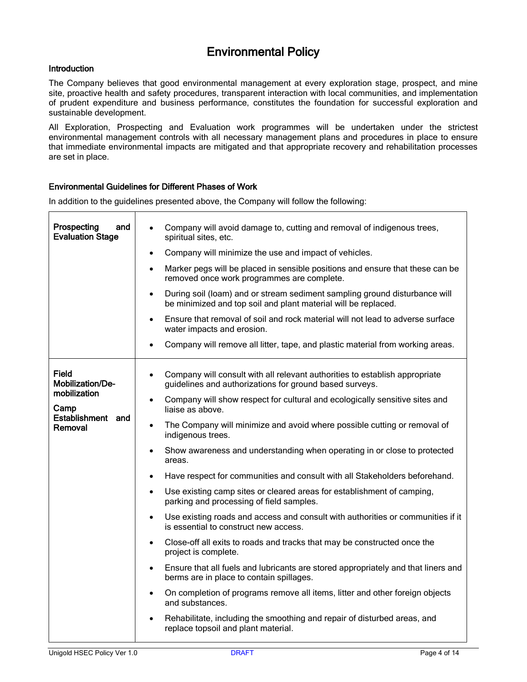## Environmental Policy

#### **Introduction**

The Company believes that good environmental management at every exploration stage, prospect, and mine site, proactive health and safety procedures, transparent interaction with local communities, and implementation of prudent expenditure and business performance, constitutes the foundation for successful exploration and sustainable development.

All Exploration, Prospecting and Evaluation work programmes will be undertaken under the strictest environmental management controls with all necessary management plans and procedures in place to ensure that immediate environmental impacts are mitigated and that appropriate recovery and rehabilitation processes are set in place.

#### Environmental Guidelines for Different Phases of Work

In addition to the guidelines presented above, the Company will follow the following:

| Prospecting<br>and<br><b>Evaluation Stage</b>                                     | Company will avoid damage to, cutting and removal of indigenous trees,<br>$\bullet$<br>spiritual sites, etc.<br>Company will minimize the use and impact of vehicles.<br>$\bullet$<br>Marker pegs will be placed in sensible positions and ensure that these can be<br>$\bullet$<br>removed once work programmes are complete.<br>During soil (loam) and or stream sediment sampling ground disturbance will<br>$\bullet$<br>be minimized and top soil and plant material will be replaced.<br>Ensure that removal of soil and rock material will not lead to adverse surface<br>$\bullet$<br>water impacts and erosion.<br>Company will remove all litter, tape, and plastic material from working areas.<br>$\bullet$                                                                                                                                                                                                                                                                                                                                                                                                                                                                                                                                                                                                                                                    |
|-----------------------------------------------------------------------------------|----------------------------------------------------------------------------------------------------------------------------------------------------------------------------------------------------------------------------------------------------------------------------------------------------------------------------------------------------------------------------------------------------------------------------------------------------------------------------------------------------------------------------------------------------------------------------------------------------------------------------------------------------------------------------------------------------------------------------------------------------------------------------------------------------------------------------------------------------------------------------------------------------------------------------------------------------------------------------------------------------------------------------------------------------------------------------------------------------------------------------------------------------------------------------------------------------------------------------------------------------------------------------------------------------------------------------------------------------------------------------|
| Field<br>Mobilization/De-<br>mobilization<br>Camp<br>Establishment and<br>Removal | Company will consult with all relevant authorities to establish appropriate<br>$\bullet$<br>guidelines and authorizations for ground based surveys.<br>Company will show respect for cultural and ecologically sensitive sites and<br>$\bullet$<br>liaise as above.<br>The Company will minimize and avoid where possible cutting or removal of<br>$\bullet$<br>indigenous trees.<br>Show awareness and understanding when operating in or close to protected<br>$\bullet$<br>areas.<br>Have respect for communities and consult with all Stakeholders beforehand.<br>$\bullet$<br>Use existing camp sites or cleared areas for establishment of camping,<br>$\bullet$<br>parking and processing of field samples.<br>Use existing roads and access and consult with authorities or communities if it<br>$\bullet$<br>is essential to construct new access.<br>Close-off all exits to roads and tracks that may be constructed once the<br>$\bullet$<br>project is complete.<br>Ensure that all fuels and lubricants are stored appropriately and that liners and<br>$\bullet$<br>berms are in place to contain spillages.<br>On completion of programs remove all items, litter and other foreign objects<br>$\bullet$<br>and substances.<br>Rehabilitate, including the smoothing and repair of disturbed areas, and<br>$\bullet$<br>replace topsoil and plant material. |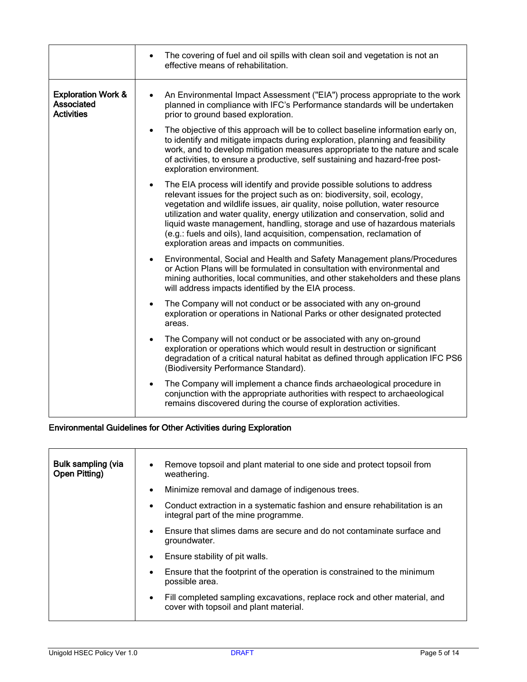|                                                                  | The covering of fuel and oil spills with clean soil and vegetation is not an<br>$\bullet$<br>effective means of rehabilitation.                                                                                                                                                                                                                                                                                                                                                                                                           |
|------------------------------------------------------------------|-------------------------------------------------------------------------------------------------------------------------------------------------------------------------------------------------------------------------------------------------------------------------------------------------------------------------------------------------------------------------------------------------------------------------------------------------------------------------------------------------------------------------------------------|
| <b>Exploration Work &amp;</b><br>Associated<br><b>Activities</b> | An Environmental Impact Assessment ("EIA") process appropriate to the work<br>$\bullet$<br>planned in compliance with IFC's Performance standards will be undertaken<br>prior to ground based exploration.                                                                                                                                                                                                                                                                                                                                |
|                                                                  | The objective of this approach will be to collect baseline information early on,<br>$\bullet$<br>to identify and mitigate impacts during exploration, planning and feasibility<br>work, and to develop mitigation measures appropriate to the nature and scale<br>of activities, to ensure a productive, self sustaining and hazard-free post-<br>exploration environment.                                                                                                                                                                |
|                                                                  | The EIA process will identify and provide possible solutions to address<br>$\bullet$<br>relevant issues for the project such as on: biodiversity, soil, ecology,<br>vegetation and wildlife issues, air quality, noise pollution, water resource<br>utilization and water quality, energy utilization and conservation, solid and<br>liquid waste management, handling, storage and use of hazardous materials<br>(e.g.: fuels and oils), land acquisition, compensation, reclamation of<br>exploration areas and impacts on communities. |
|                                                                  | Environmental, Social and Health and Safety Management plans/Procedures<br>or Action Plans will be formulated in consultation with environmental and<br>mining authorities, local communities, and other stakeholders and these plans<br>will address impacts identified by the EIA process.                                                                                                                                                                                                                                              |
|                                                                  | The Company will not conduct or be associated with any on-ground<br>$\bullet$<br>exploration or operations in National Parks or other designated protected<br>areas.                                                                                                                                                                                                                                                                                                                                                                      |
|                                                                  | The Company will not conduct or be associated with any on-ground<br>exploration or operations which would result in destruction or significant<br>degradation of a critical natural habitat as defined through application IFC PS6<br>(Biodiversity Performance Standard).                                                                                                                                                                                                                                                                |
|                                                                  | The Company will implement a chance finds archaeological procedure in<br>$\bullet$<br>conjunction with the appropriate authorities with respect to archaeological<br>remains discovered during the course of exploration activities.                                                                                                                                                                                                                                                                                                      |

### Environmental Guidelines for Other Activities during Exploration

| <b>Bulk sampling (via</b><br>Open Pitting) | Remove topsoil and plant material to one side and protect topsoil from<br>$\bullet$<br>weathering.                               |
|--------------------------------------------|----------------------------------------------------------------------------------------------------------------------------------|
|                                            | Minimize removal and damage of indigenous trees.<br>$\bullet$                                                                    |
|                                            | Conduct extraction in a systematic fashion and ensure rehabilitation is an<br>$\bullet$<br>integral part of the mine programme.  |
|                                            | Ensure that slimes dams are secure and do not contaminate surface and<br>$\bullet$<br>groundwater.                               |
|                                            | Ensure stability of pit walls.<br>$\bullet$                                                                                      |
|                                            | Ensure that the footprint of the operation is constrained to the minimum<br>$\bullet$<br>possible area.                          |
|                                            | Fill completed sampling excavations, replace rock and other material, and<br>$\bullet$<br>cover with topsoil and plant material. |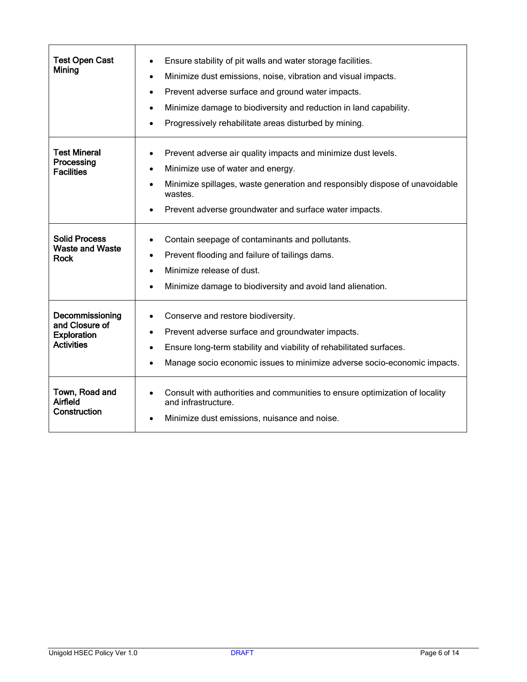| <b>Test Open Cast</b><br>Mining                                              | Ensure stability of pit walls and water storage facilities.<br>$\bullet$<br>Minimize dust emissions, noise, vibration and visual impacts.<br>$\bullet$<br>Prevent adverse surface and ground water impacts.<br>$\bullet$<br>Minimize damage to biodiversity and reduction in land capability.<br>$\bullet$<br>Progressively rehabilitate areas disturbed by mining.<br>$\bullet$ |
|------------------------------------------------------------------------------|----------------------------------------------------------------------------------------------------------------------------------------------------------------------------------------------------------------------------------------------------------------------------------------------------------------------------------------------------------------------------------|
| <b>Test Mineral</b><br>Processing<br><b>Facilities</b>                       | Prevent adverse air quality impacts and minimize dust levels.<br>$\bullet$<br>Minimize use of water and energy.<br>$\bullet$<br>Minimize spillages, waste generation and responsibly dispose of unavoidable<br>$\bullet$<br>wastes.<br>Prevent adverse groundwater and surface water impacts.                                                                                    |
| <b>Solid Process</b><br><b>Waste and Waste</b><br><b>Rock</b>                | Contain seepage of contaminants and pollutants.<br>$\bullet$<br>Prevent flooding and failure of tailings dams.<br>$\bullet$<br>Minimize release of dust.<br>$\bullet$<br>Minimize damage to biodiversity and avoid land alienation.<br>$\bullet$                                                                                                                                 |
| Decommissioning<br>and Closure of<br><b>Exploration</b><br><b>Activities</b> | Conserve and restore biodiversity.<br>٠<br>Prevent adverse surface and groundwater impacts.<br>$\bullet$<br>Ensure long-term stability and viability of rehabilitated surfaces.<br>$\bullet$<br>Manage socio economic issues to minimize adverse socio-economic impacts.<br>$\bullet$                                                                                            |
| Town, Road and<br>Airfield<br>Construction                                   | Consult with authorities and communities to ensure optimization of locality<br>$\bullet$<br>and infrastructure.<br>Minimize dust emissions, nuisance and noise.                                                                                                                                                                                                                  |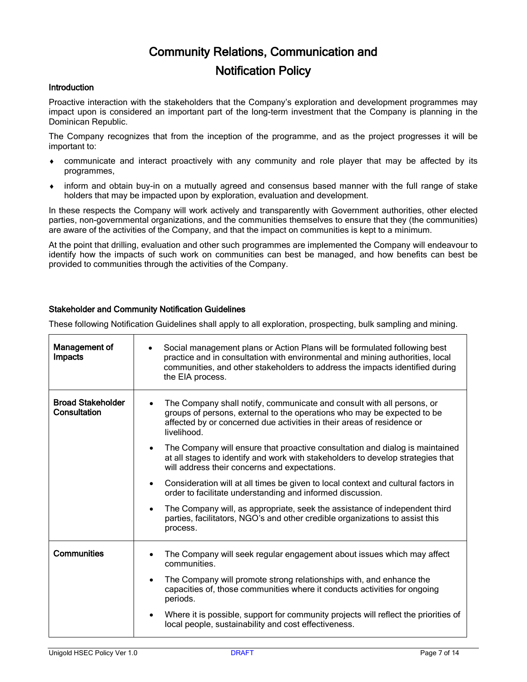# Community Relations, Communication and

## Notification Policy

#### Introduction

Proactive interaction with the stakeholders that the Company's exploration and development programmes may impact upon is considered an important part of the long-term investment that the Company is planning in the Dominican Republic.

The Company recognizes that from the inception of the programme, and as the project progresses it will be important to:

- ♦ communicate and interact proactively with any community and role player that may be affected by its programmes,
- ♦ inform and obtain buy-in on a mutually agreed and consensus based manner with the full range of stake holders that may be impacted upon by exploration, evaluation and development.

In these respects the Company will work actively and transparently with Government authorities, other elected parties, non-governmental organizations, and the communities themselves to ensure that they (the communities) are aware of the activities of the Company, and that the impact on communities is kept to a minimum.

At the point that drilling, evaluation and other such programmes are implemented the Company will endeavour to identify how the impacts of such work on communities can best be managed, and how benefits can best be provided to communities through the activities of the Company.

#### Stakeholder and Community Notification Guidelines

These following Notification Guidelines shall apply to all exploration, prospecting, bulk sampling and mining.

| Management of<br>Impacts                 | Social management plans or Action Plans will be formulated following best<br>practice and in consultation with environmental and mining authorities, local<br>communities, and other stakeholders to address the impacts identified during<br>the EIA process.                                                                                                                                                                                                                                                                                                                                                                                                                                                                                                                                                                                  |
|------------------------------------------|-------------------------------------------------------------------------------------------------------------------------------------------------------------------------------------------------------------------------------------------------------------------------------------------------------------------------------------------------------------------------------------------------------------------------------------------------------------------------------------------------------------------------------------------------------------------------------------------------------------------------------------------------------------------------------------------------------------------------------------------------------------------------------------------------------------------------------------------------|
| <b>Broad Stakeholder</b><br>Consultation | The Company shall notify, communicate and consult with all persons, or<br>$\bullet$<br>groups of persons, external to the operations who may be expected to be<br>affected by or concerned due activities in their areas of residence or<br>livelihood.<br>The Company will ensure that proactive consultation and dialog is maintained<br>$\bullet$<br>at all stages to identify and work with stakeholders to develop strategies that<br>will address their concerns and expectations.<br>Consideration will at all times be given to local context and cultural factors in<br>$\bullet$<br>order to facilitate understanding and informed discussion.<br>The Company will, as appropriate, seek the assistance of independent third<br>$\bullet$<br>parties, facilitators, NGO's and other credible organizations to assist this<br>process. |
|                                          |                                                                                                                                                                                                                                                                                                                                                                                                                                                                                                                                                                                                                                                                                                                                                                                                                                                 |
| <b>Communities</b>                       | The Company will seek regular engagement about issues which may affect<br>$\bullet$<br>communities.                                                                                                                                                                                                                                                                                                                                                                                                                                                                                                                                                                                                                                                                                                                                             |
|                                          | The Company will promote strong relationships with, and enhance the<br>$\bullet$<br>capacities of, those communities where it conducts activities for ongoing<br>periods.                                                                                                                                                                                                                                                                                                                                                                                                                                                                                                                                                                                                                                                                       |
|                                          | Where it is possible, support for community projects will reflect the priorities of<br>$\bullet$<br>local people, sustainability and cost effectiveness.                                                                                                                                                                                                                                                                                                                                                                                                                                                                                                                                                                                                                                                                                        |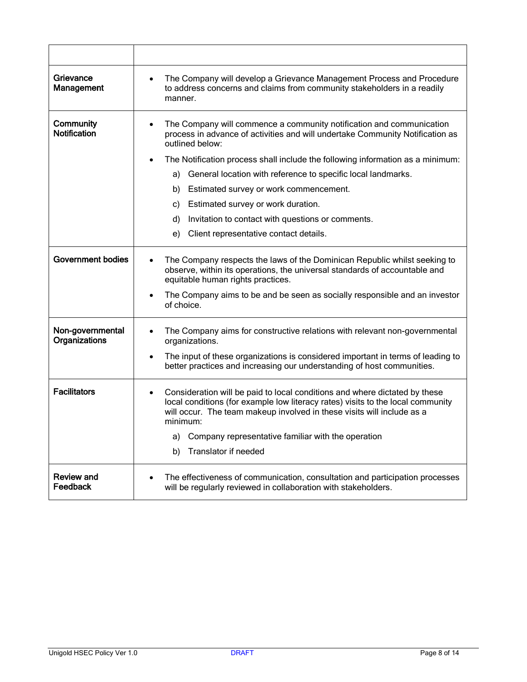| Grievance<br>Management           | The Company will develop a Grievance Management Process and Procedure<br>$\bullet$<br>to address concerns and claims from community stakeholders in a readily<br>manner.                                                                                         |
|-----------------------------------|------------------------------------------------------------------------------------------------------------------------------------------------------------------------------------------------------------------------------------------------------------------|
| Community<br><b>Notification</b>  | The Company will commence a community notification and communication<br>$\bullet$<br>process in advance of activities and will undertake Community Notification as<br>outlined below:                                                                            |
|                                   | The Notification process shall include the following information as a minimum:                                                                                                                                                                                   |
|                                   | General location with reference to specific local landmarks.<br>a)                                                                                                                                                                                               |
|                                   | Estimated survey or work commencement.<br>b)                                                                                                                                                                                                                     |
|                                   | Estimated survey or work duration.<br>C)                                                                                                                                                                                                                         |
|                                   | Invitation to contact with questions or comments.<br>d)                                                                                                                                                                                                          |
|                                   | Client representative contact details.<br>e)                                                                                                                                                                                                                     |
| <b>Government bodies</b>          | The Company respects the laws of the Dominican Republic whilst seeking to<br>$\bullet$<br>observe, within its operations, the universal standards of accountable and<br>equitable human rights practices.                                                        |
|                                   | The Company aims to be and be seen as socially responsible and an investor<br>$\bullet$<br>of choice.                                                                                                                                                            |
| Non-governmental<br>Organizations | The Company aims for constructive relations with relevant non-governmental<br>$\bullet$<br>organizations.                                                                                                                                                        |
|                                   | The input of these organizations is considered important in terms of leading to<br>$\bullet$<br>better practices and increasing our understanding of host communities.                                                                                           |
| <b>Facilitators</b>               | Consideration will be paid to local conditions and where dictated by these<br>$\bullet$<br>local conditions (for example low literacy rates) visits to the local community<br>will occur. The team makeup involved in these visits will include as a<br>minimum: |
|                                   | Company representative familiar with the operation<br>a)                                                                                                                                                                                                         |
|                                   | Translator if needed<br>b)                                                                                                                                                                                                                                       |
| <b>Review and</b><br>Feedback     | The effectiveness of communication, consultation and participation processes<br>٠<br>will be regularly reviewed in collaboration with stakeholders.                                                                                                              |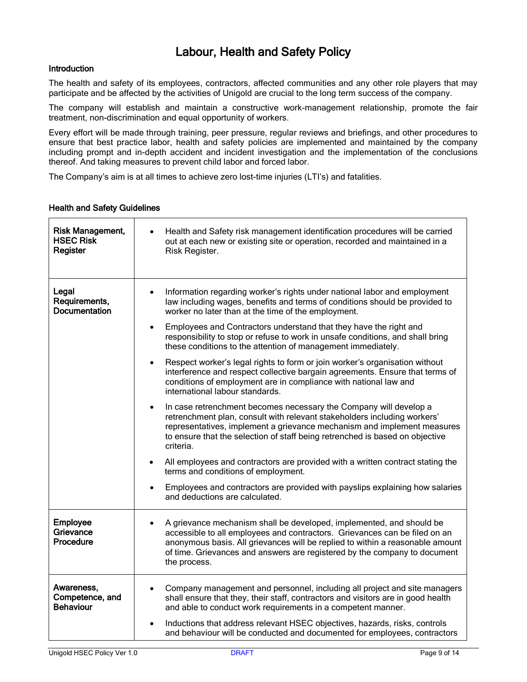# Labour, Health and Safety Policy

#### **Introduction**

The health and safety of its employees, contractors, affected communities and any other role players that may participate and be affected by the activities of Unigold are crucial to the long term success of the company.

The company will establish and maintain a constructive work-management relationship, promote the fair treatment, non-discrimination and equal opportunity of workers.

Every effort will be made through training, peer pressure, regular reviews and briefings, and other procedures to ensure that best practice labor, health and safety policies are implemented and maintained by the company including prompt and in-depth accident and incident investigation and the implementation of the conclusions thereof. And taking measures to prevent child labor and forced labor.

The Company's aim is at all times to achieve zero lost-time injuries (LTI's) and fatalities.

| <b>Risk Management,</b><br><b>HSEC Risk</b><br>Register | Health and Safety risk management identification procedures will be carried<br>$\bullet$<br>out at each new or existing site or operation, recorded and maintained in a<br>Risk Register.                                                                                                                                                     |
|---------------------------------------------------------|-----------------------------------------------------------------------------------------------------------------------------------------------------------------------------------------------------------------------------------------------------------------------------------------------------------------------------------------------|
| Legal<br>Requirements,<br><b>Documentation</b>          | Information regarding worker's rights under national labor and employment<br>$\bullet$<br>law including wages, benefits and terms of conditions should be provided to<br>worker no later than at the time of the employment.                                                                                                                  |
|                                                         | Employees and Contractors understand that they have the right and<br>$\bullet$<br>responsibility to stop or refuse to work in unsafe conditions, and shall bring<br>these conditions to the attention of management immediately.                                                                                                              |
|                                                         | Respect worker's legal rights to form or join worker's organisation without<br>$\bullet$<br>interference and respect collective bargain agreements. Ensure that terms of<br>conditions of employment are in compliance with national law and<br>international labour standards.                                                               |
|                                                         | In case retrenchment becomes necessary the Company will develop a<br>$\bullet$<br>retrenchment plan, consult with relevant stakeholders including workers'<br>representatives, implement a grievance mechanism and implement measures<br>to ensure that the selection of staff being retrenched is based on objective<br>criteria.            |
|                                                         | All employees and contractors are provided with a written contract stating the<br>$\bullet$<br>terms and conditions of employment.                                                                                                                                                                                                            |
|                                                         | Employees and contractors are provided with payslips explaining how salaries<br>and deductions are calculated.                                                                                                                                                                                                                                |
| Employee<br>Grievance<br>Procedure                      | A grievance mechanism shall be developed, implemented, and should be<br>$\bullet$<br>accessible to all employees and contractors. Grievances can be filed on an<br>anonymous basis. All grievances will be replied to within a reasonable amount<br>of time. Grievances and answers are registered by the company to document<br>the process. |
| Awareness,<br>Competence, and<br><b>Behaviour</b>       | Company management and personnel, including all project and site managers<br>$\bullet$<br>shall ensure that they, their staff, contractors and visitors are in good health<br>and able to conduct work requirements in a competent manner.                                                                                                    |
|                                                         | Inductions that address relevant HSEC objectives, hazards, risks, controls<br>$\bullet$<br>and behaviour will be conducted and documented for employees, contractors                                                                                                                                                                          |

#### Health and Safety Guidelines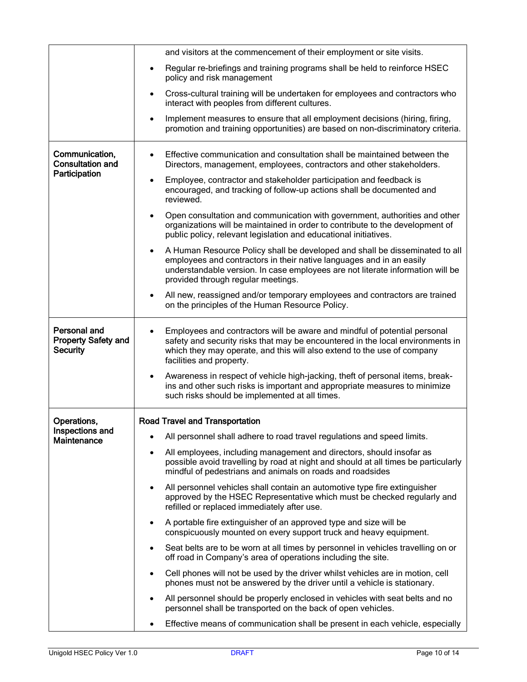|                                                               | and visitors at the commencement of their employment or site visits.                                                                                                                                                                                                                     |
|---------------------------------------------------------------|------------------------------------------------------------------------------------------------------------------------------------------------------------------------------------------------------------------------------------------------------------------------------------------|
|                                                               | Regular re-briefings and training programs shall be held to reinforce HSEC<br>$\bullet$<br>policy and risk management                                                                                                                                                                    |
|                                                               | Cross-cultural training will be undertaken for employees and contractors who<br>$\bullet$<br>interact with peoples from different cultures.                                                                                                                                              |
|                                                               | Implement measures to ensure that all employment decisions (hiring, firing,<br>$\bullet$<br>promotion and training opportunities) are based on non-discriminatory criteria.                                                                                                              |
| Communication,<br><b>Consultation and</b><br>Participation    | Effective communication and consultation shall be maintained between the<br>$\bullet$<br>Directors, management, employees, contractors and other stakeholders.                                                                                                                           |
|                                                               | Employee, contractor and stakeholder participation and feedback is<br>$\bullet$<br>encouraged, and tracking of follow-up actions shall be documented and<br>reviewed.                                                                                                                    |
|                                                               | Open consultation and communication with government, authorities and other<br>$\bullet$<br>organizations will be maintained in order to contribute to the development of<br>public policy, relevant legislation and educational initiatives.                                             |
|                                                               | A Human Resource Policy shall be developed and shall be disseminated to all<br>$\bullet$<br>employees and contractors in their native languages and in an easily<br>understandable version. In case employees are not literate information will be<br>provided through regular meetings. |
|                                                               | All new, reassigned and/or temporary employees and contractors are trained<br>$\bullet$<br>on the principles of the Human Resource Policy.                                                                                                                                               |
| Personal and<br><b>Property Safety and</b><br><b>Security</b> | Employees and contractors will be aware and mindful of potential personal<br>$\bullet$<br>safety and security risks that may be encountered in the local environments in<br>which they may operate, and this will also extend to the use of company<br>facilities and property.          |
|                                                               | Awareness in respect of vehicle high-jacking, theft of personal items, break-<br>$\bullet$<br>ins and other such risks is important and appropriate measures to minimize<br>such risks should be implemented at all times.                                                               |
| Operations,                                                   | <b>Road Travel and Transportation</b>                                                                                                                                                                                                                                                    |
| Inspections and<br><b>Maintenance</b>                         | All personnel shall adhere to road travel regulations and speed limits.<br>$\bullet$                                                                                                                                                                                                     |
|                                                               | All employees, including management and directors, should insofar as<br>$\bullet$<br>possible avoid travelling by road at night and should at all times be particularly<br>mindful of pedestrians and animals on roads and roadsides                                                     |
|                                                               | All personnel vehicles shall contain an automotive type fire extinguisher<br>$\bullet$<br>approved by the HSEC Representative which must be checked regularly and<br>refilled or replaced immediately after use.                                                                         |
|                                                               | A portable fire extinguisher of an approved type and size will be<br>$\bullet$<br>conspicuously mounted on every support truck and heavy equipment.                                                                                                                                      |
|                                                               | Seat belts are to be worn at all times by personnel in vehicles travelling on or<br>$\bullet$<br>off road in Company's area of operations including the site.                                                                                                                            |
|                                                               | Cell phones will not be used by the driver whilst vehicles are in motion, cell<br>$\bullet$<br>phones must not be answered by the driver until a vehicle is stationary.                                                                                                                  |
|                                                               | All personnel should be properly enclosed in vehicles with seat belts and no<br>$\bullet$<br>personnel shall be transported on the back of open vehicles.                                                                                                                                |
|                                                               | Effective means of communication shall be present in each vehicle, especially                                                                                                                                                                                                            |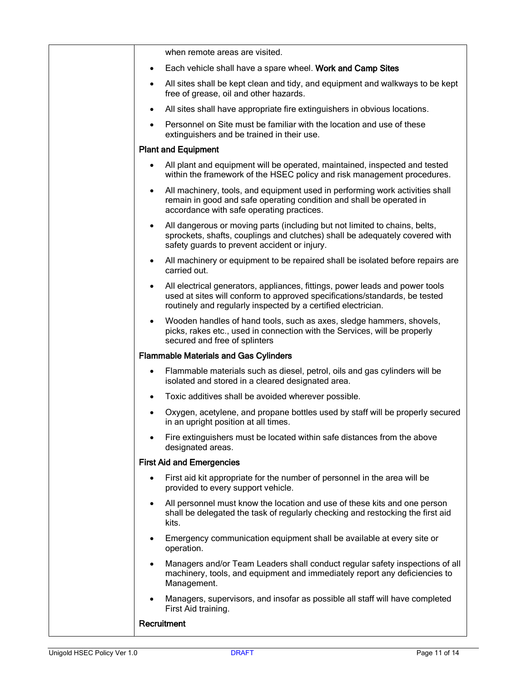| when remote areas are visited.                                                                                                                                                                                              |
|-----------------------------------------------------------------------------------------------------------------------------------------------------------------------------------------------------------------------------|
| Each vehicle shall have a spare wheel. Work and Camp Sites<br>$\bullet$                                                                                                                                                     |
| All sites shall be kept clean and tidy, and equipment and walkways to be kept<br>$\bullet$<br>free of grease, oil and other hazards.                                                                                        |
| All sites shall have appropriate fire extinguishers in obvious locations.                                                                                                                                                   |
| Personnel on Site must be familiar with the location and use of these<br>extinguishers and be trained in their use.                                                                                                         |
| <b>Plant and Equipment</b>                                                                                                                                                                                                  |
| All plant and equipment will be operated, maintained, inspected and tested<br>$\bullet$<br>within the framework of the HSEC policy and risk management procedures.                                                          |
| All machinery, tools, and equipment used in performing work activities shall<br>remain in good and safe operating condition and shall be operated in<br>accordance with safe operating practices.                           |
| All dangerous or moving parts (including but not limited to chains, belts,<br>$\bullet$<br>sprockets, shafts, couplings and clutches) shall be adequately covered with<br>safety guards to prevent accident or injury.      |
| All machinery or equipment to be repaired shall be isolated before repairs are<br>$\bullet$<br>carried out.                                                                                                                 |
| All electrical generators, appliances, fittings, power leads and power tools<br>used at sites will conform to approved specifications/standards, be tested<br>routinely and regularly inspected by a certified electrician. |
| Wooden handles of hand tools, such as axes, sledge hammers, shovels,<br>$\bullet$<br>picks, rakes etc., used in connection with the Services, will be properly<br>secured and free of splinters                             |
| <b>Flammable Materials and Gas Cylinders</b>                                                                                                                                                                                |
| Flammable materials such as diesel, petrol, oils and gas cylinders will be<br>isolated and stored in a cleared designated area.                                                                                             |
| Toxic additives shall be avoided wherever possible.<br>$\bullet$                                                                                                                                                            |
| Oxygen, acetylene, and propane bottles used by staff will be properly secured<br>in an upright position at all times.                                                                                                       |
| Fire extinguishers must be located within safe distances from the above<br>designated areas.                                                                                                                                |
| <b>First Aid and Emergencies</b>                                                                                                                                                                                            |
| First aid kit appropriate for the number of personnel in the area will be<br>provided to every support vehicle.                                                                                                             |
| All personnel must know the location and use of these kits and one person<br>$\bullet$<br>shall be delegated the task of regularly checking and restocking the first aid<br>kits.                                           |
| Emergency communication equipment shall be available at every site or<br>operation.                                                                                                                                         |
| Managers and/or Team Leaders shall conduct regular safety inspections of all<br>machinery, tools, and equipment and immediately report any deficiencies to<br>Management.                                                   |
| Managers, supervisors, and insofar as possible all staff will have completed<br>First Aid training.                                                                                                                         |
| Recruitment                                                                                                                                                                                                                 |
|                                                                                                                                                                                                                             |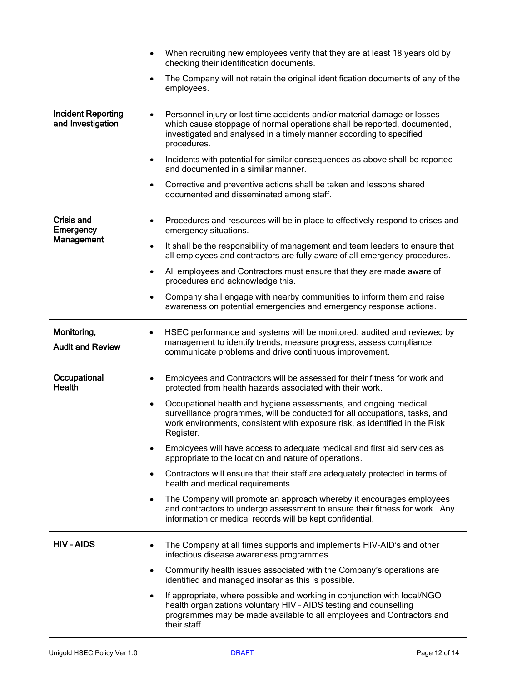|                                                | When recruiting new employees verify that they are at least 18 years old by<br>$\bullet$<br>checking their identification documents.                                                                                                                    |
|------------------------------------------------|---------------------------------------------------------------------------------------------------------------------------------------------------------------------------------------------------------------------------------------------------------|
|                                                | The Company will not retain the original identification documents of any of the<br>$\bullet$<br>employees.                                                                                                                                              |
| <b>Incident Reporting</b><br>and Investigation | Personnel injury or lost time accidents and/or material damage or losses<br>which cause stoppage of normal operations shall be reported, documented,<br>investigated and analysed in a timely manner according to specified<br>procedures.              |
|                                                | Incidents with potential for similar consequences as above shall be reported<br>$\bullet$<br>and documented in a similar manner.                                                                                                                        |
|                                                | Corrective and preventive actions shall be taken and lessons shared<br>$\bullet$<br>documented and disseminated among staff.                                                                                                                            |
| <b>Crisis and</b><br>Emergency                 | Procedures and resources will be in place to effectively respond to crises and<br>$\bullet$<br>emergency situations.                                                                                                                                    |
| Management                                     | It shall be the responsibility of management and team leaders to ensure that<br>$\bullet$<br>all employees and contractors are fully aware of all emergency procedures.                                                                                 |
|                                                | All employees and Contractors must ensure that they are made aware of<br>$\bullet$<br>procedures and acknowledge this.                                                                                                                                  |
|                                                | Company shall engage with nearby communities to inform them and raise<br>awareness on potential emergencies and emergency response actions.                                                                                                             |
| Monitoring,<br><b>Audit and Review</b>         | HSEC performance and systems will be monitored, audited and reviewed by<br>management to identify trends, measure progress, assess compliance,<br>communicate problems and drive continuous improvement.                                                |
| Occupational<br><b>Health</b>                  | Employees and Contractors will be assessed for their fitness for work and<br>$\bullet$<br>protected from health hazards associated with their work.                                                                                                     |
|                                                | Occupational health and hygiene assessments, and ongoing medical<br>$\bullet$<br>surveillance programmes, will be conducted for all occupations, tasks, and<br>work environments, consistent with exposure risk, as identified in the Risk<br>Register. |
|                                                | Employees will have access to adequate medical and first aid services as<br>appropriate to the location and nature of operations.                                                                                                                       |
|                                                | Contractors will ensure that their staff are adequately protected in terms of<br>$\bullet$<br>health and medical requirements.                                                                                                                          |
|                                                | The Company will promote an approach whereby it encourages employees<br>$\bullet$<br>and contractors to undergo assessment to ensure their fitness for work. Any<br>information or medical records will be kept confidential.                           |
| <b>HIV-AIDS</b>                                | The Company at all times supports and implements HIV-AID's and other<br>infectious disease awareness programmes.                                                                                                                                        |
|                                                | Community health issues associated with the Company's operations are<br>identified and managed insofar as this is possible.                                                                                                                             |
|                                                | If appropriate, where possible and working in conjunction with local/NGO<br>health organizations voluntary HIV - AIDS testing and counselling<br>programmes may be made available to all employees and Contractors and<br>their staff.                  |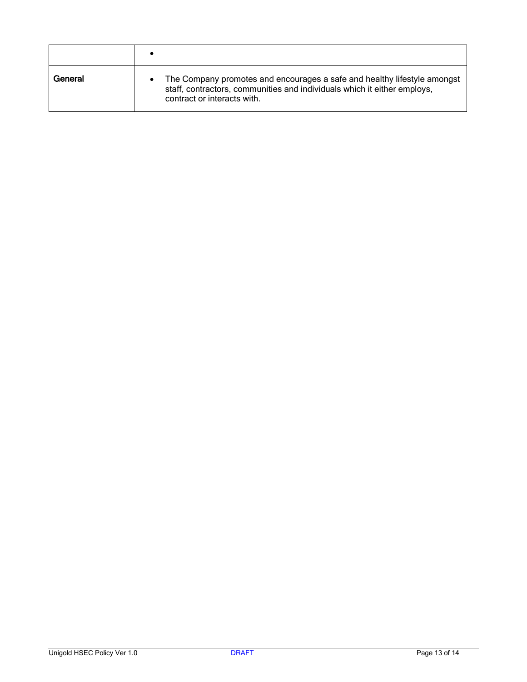| General | The Company promotes and encourages a safe and healthy lifestyle amongst<br>staff, contractors, communities and individuals which it either employs,<br>contract or interacts with. |
|---------|-------------------------------------------------------------------------------------------------------------------------------------------------------------------------------------|